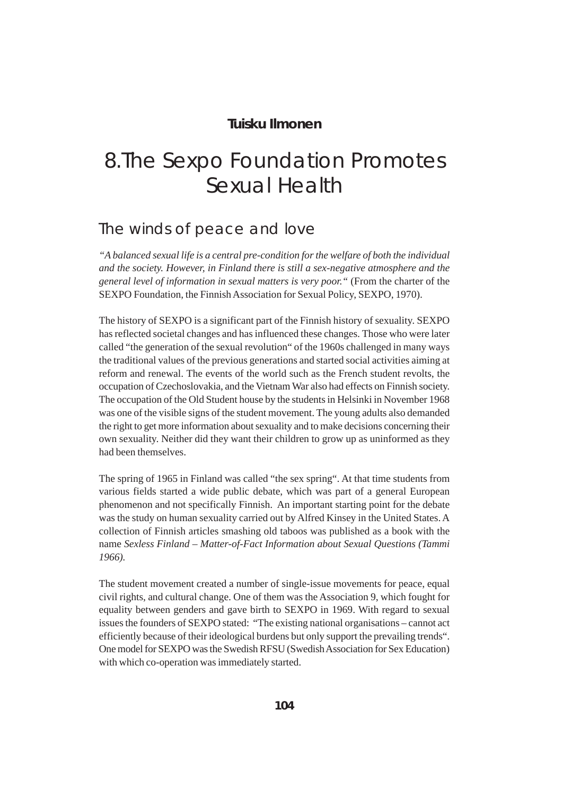### **Tuisku Ilmonen**

# 8.The Sexpo Foundation Promotes Sexual Health

# The winds of peace and love

*"A balanced sexual life is a central pre-condition for the welfare of both the individual and the society. However, in Finland there is still a sex-negative atmosphere and the general level of information in sexual matters is very poor."* (From the charter of the SEXPO Foundation, the Finnish Association for Sexual Policy, SEXPO, 1970).

The history of SEXPO is a significant part of the Finnish history of sexuality. SEXPO has reflected societal changes and has influenced these changes. Those who were later called "the generation of the sexual revolution" of the 1960s challenged in many ways the traditional values of the previous generations and started social activities aiming at reform and renewal. The events of the world such as the French student revolts, the occupation of Czechoslovakia, and the Vietnam War also had effects on Finnish society. The occupation of the Old Student house by the students in Helsinki in November 1968 was one of the visible signs of the student movement. The young adults also demanded the right to get more information about sexuality and to make decisions concerning their own sexuality. Neither did they want their children to grow up as uninformed as they had been themselves.

The spring of 1965 in Finland was called "the sex spring". At that time students from various fields started a wide public debate, which was part of a general European phenomenon and not specifically Finnish. An important starting point for the debate was the study on human sexuality carried out by Alfred Kinsey in the United States. A collection of Finnish articles smashing old taboos was published as a book with the name *Sexless Finland – Matter-of-Fact Information about Sexual Questions (Tammi 1966).*

The student movement created a number of single-issue movements for peace, equal civil rights, and cultural change. One of them was the Association 9, which fought for equality between genders and gave birth to SEXPO in 1969. With regard to sexual issues the founders of SEXPO stated: "The existing national organisations – cannot act efficiently because of their ideological burdens but only support the prevailing trends". One model for SEXPO was the Swedish RFSU (Swedish Association for Sex Education) with which co-operation was immediately started.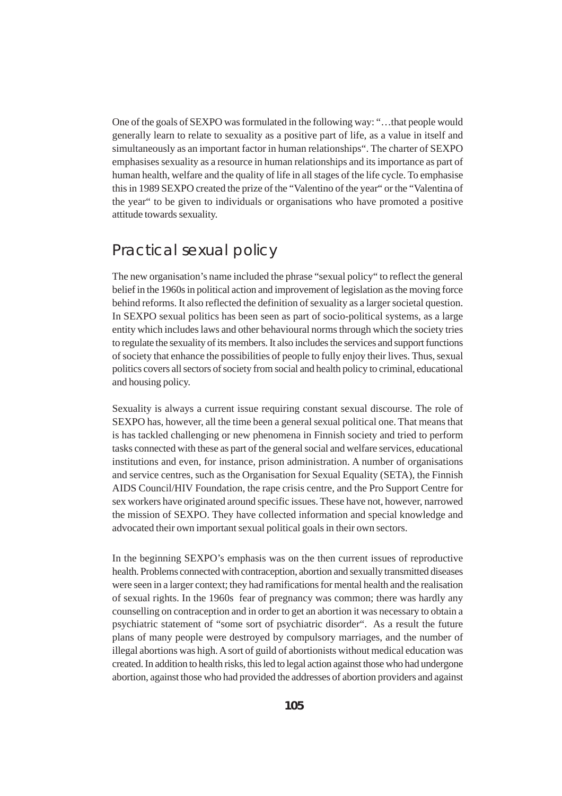One of the goals of SEXPO was formulated in the following way: "…that people would generally learn to relate to sexuality as a positive part of life, as a value in itself and simultaneously as an important factor in human relationships". The charter of SEXPO emphasises sexuality as a resource in human relationships and its importance as part of human health, welfare and the quality of life in all stages of the life cycle. To emphasise this in 1989 SEXPO created the prize of the "Valentino of the year" or the "Valentina of the year" to be given to individuals or organisations who have promoted a positive attitude towards sexuality.

# Practical sexual policy

The new organisation's name included the phrase "sexual policy" to reflect the general belief in the 1960s in political action and improvement of legislation as the moving force behind reforms. It also reflected the definition of sexuality as a larger societal question. In SEXPO sexual politics has been seen as part of socio-political systems, as a large entity which includes laws and other behavioural norms through which the society tries to regulate the sexuality of its members. It also includes the services and support functions of society that enhance the possibilities of people to fully enjoy their lives. Thus, sexual politics covers all sectors of society from social and health policy to criminal, educational and housing policy.

Sexuality is always a current issue requiring constant sexual discourse. The role of SEXPO has, however, all the time been a general sexual political one. That means that is has tackled challenging or new phenomena in Finnish society and tried to perform tasks connected with these as part of the general social and welfare services, educational institutions and even, for instance, prison administration. A number of organisations and service centres, such as the Organisation for Sexual Equality (SETA), the Finnish AIDS Council/HIV Foundation, the rape crisis centre, and the Pro Support Centre for sex workers have originated around specific issues. These have not, however, narrowed the mission of SEXPO. They have collected information and special knowledge and advocated their own important sexual political goals in their own sectors.

In the beginning SEXPO's emphasis was on the then current issues of reproductive health. Problems connected with contraception, abortion and sexually transmitted diseases were seen in a larger context; they had ramifications for mental health and the realisation of sexual rights. In the 1960s fear of pregnancy was common; there was hardly any counselling on contraception and in order to get an abortion it was necessary to obtain a psychiatric statement of "some sort of psychiatric disorder". As a result the future plans of many people were destroyed by compulsory marriages, and the number of illegal abortions was high. A sort of guild of abortionists without medical education was created. In addition to health risks, this led to legal action against those who had undergone abortion, against those who had provided the addresses of abortion providers and against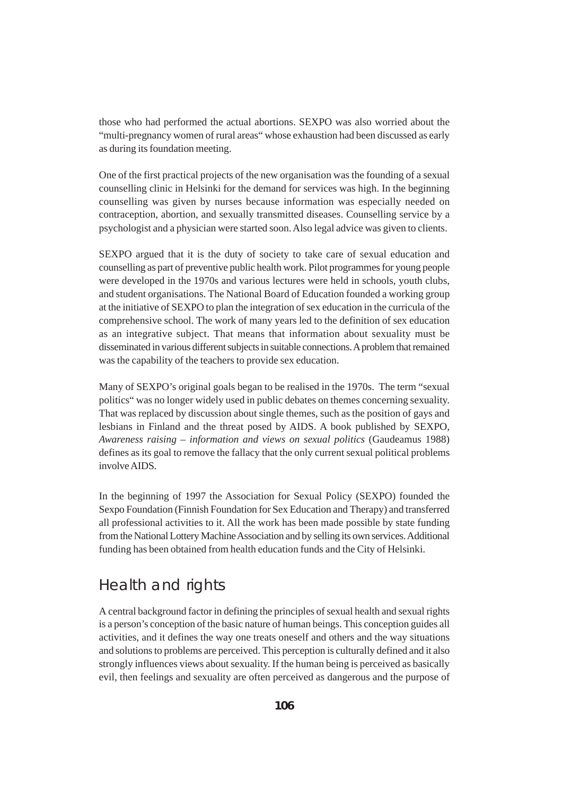those who had performed the actual abortions. SEXPO was also worried about the "multi-pregnancy women of rural areas" whose exhaustion had been discussed as early as during its foundation meeting.

One of the first practical projects of the new organisation was the founding of a sexual counselling clinic in Helsinki for the demand for services was high. In the beginning counselling was given by nurses because information was especially needed on contraception, abortion, and sexually transmitted diseases. Counselling service by a psychologist and a physician were started soon. Also legal advice was given to clients.

SEXPO argued that it is the duty of society to take care of sexual education and counselling as part of preventive public health work. Pilot programmes for young people were developed in the 1970s and various lectures were held in schools, youth clubs, and student organisations. The National Board of Education founded a working group at the initiative of SEXPO to plan the integration of sex education in the curricula of the comprehensive school. The work of many years led to the definition of sex education as an integrative subject. That means that information about sexuality must be disseminated in various different subjects in suitable connections. A problem that remained was the capability of the teachers to provide sex education.

Many of SEXPO's original goals began to be realised in the 1970s. The term "sexual politics" was no longer widely used in public debates on themes concerning sexuality. That was replaced by discussion about single themes, such as the position of gays and lesbians in Finland and the threat posed by AIDS. A book published by SEXPO*, Awareness raising – information and views on sexual politics* (Gaudeamus 1988) defines as its goal to remove the fallacy that the only current sexual political problems involve AIDS.

In the beginning of 1997 the Association for Sexual Policy (SEXPO) founded the Sexpo Foundation (Finnish Foundation for Sex Education and Therapy) and transferred all professional activities to it. All the work has been made possible by state funding from the National Lottery Machine Association and by selling its own services. Additional funding has been obtained from health education funds and the City of Helsinki.

# Health and rights

A central background factor in defining the principles of sexual health and sexual rights is a person's conception of the basic nature of human beings. This conception guides all activities, and it defines the way one treats oneself and others and the way situations and solutions to problems are perceived. This perception is culturally defined and it also strongly influences views about sexuality. If the human being is perceived as basically evil, then feelings and sexuality are often perceived as dangerous and the purpose of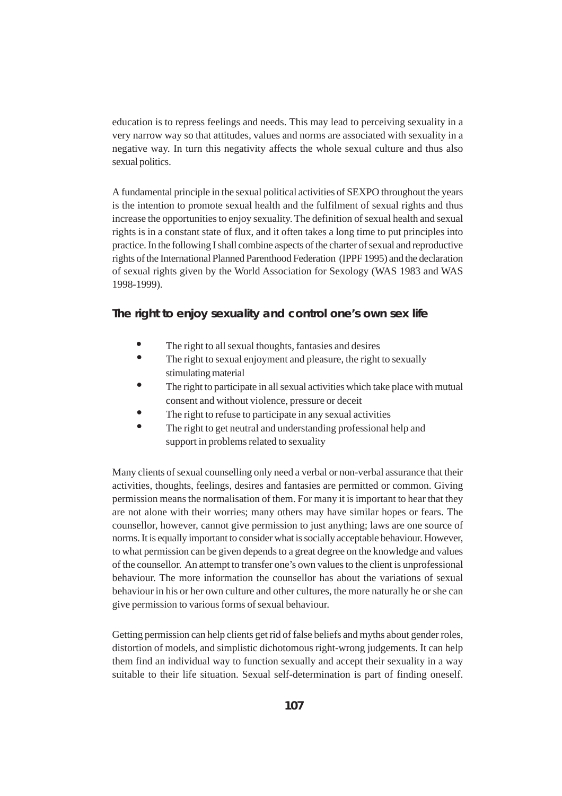education is to repress feelings and needs. This may lead to perceiving sexuality in a very narrow way so that attitudes, values and norms are associated with sexuality in a negative way. In turn this negativity affects the whole sexual culture and thus also sexual politics.

A fundamental principle in the sexual political activities of SEXPO throughout the years is the intention to promote sexual health and the fulfilment of sexual rights and thus increase the opportunities to enjoy sexuality. The definition of sexual health and sexual rights is in a constant state of flux, and it often takes a long time to put principles into practice. In the following I shall combine aspects of the charter of sexual and reproductive rights of the International Planned Parenthood Federation (IPPF 1995) and the declaration of sexual rights given by the World Association for Sexology (WAS 1983 and WAS 1998-1999).

#### **The right to enjoy sexuality and control one's own sex life**

- The right to all sexual thoughts, fantasies and desires
- The right to sexual enjoyment and pleasure, the right to sexually stimulating material
- The right to participate in all sexual activities which take place with mutual consent and without violence, pressure or deceit
- The right to refuse to participate in any sexual activities
- The right to get neutral and understanding professional help and support in problems related to sexuality

Many clients of sexual counselling only need a verbal or non-verbal assurance that their activities, thoughts, feelings, desires and fantasies are permitted or common. Giving permission means the normalisation of them. For many it is important to hear that they are not alone with their worries; many others may have similar hopes or fears. The counsellor, however, cannot give permission to just anything; laws are one source of norms. It is equally important to consider what is socially acceptable behaviour. However, to what permission can be given depends to a great degree on the knowledge and values of the counsellor. An attempt to transfer one's own values to the client is unprofessional behaviour. The more information the counsellor has about the variations of sexual behaviour in his or her own culture and other cultures, the more naturally he or she can give permission to various forms of sexual behaviour.

Getting permission can help clients get rid of false beliefs and myths about gender roles, distortion of models, and simplistic dichotomous right-wrong judgements. It can help them find an individual way to function sexually and accept their sexuality in a way suitable to their life situation. Sexual self-determination is part of finding oneself.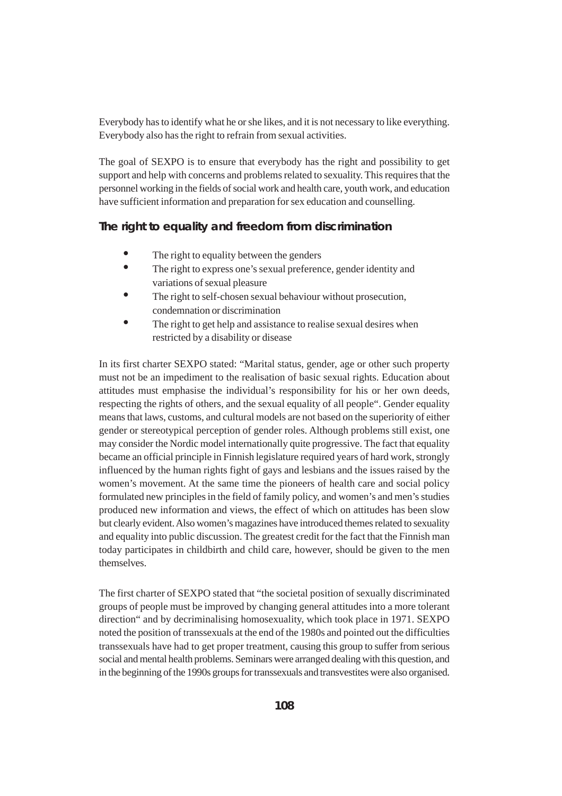Everybody has to identify what he or she likes, and it is not necessary to like everything. Everybody also has the right to refrain from sexual activities.

The goal of SEXPO is to ensure that everybody has the right and possibility to get support and help with concerns and problems related to sexuality. This requires that the personnel working in the fields of social work and health care, youth work, and education have sufficient information and preparation for sex education and counselling.

#### **The right to equality and freedom from discrimination**

- The right to equality between the genders
- The right to express one's sexual preference, gender identity and variations of sexual pleasure
- The right to self-chosen sexual behaviour without prosecution, condemnation or discrimination
- The right to get help and assistance to realise sexual desires when restricted by a disability or disease

In its first charter SEXPO stated: "Marital status, gender, age or other such property must not be an impediment to the realisation of basic sexual rights. Education about attitudes must emphasise the individual's responsibility for his or her own deeds, respecting the rights of others, and the sexual equality of all people". Gender equality means that laws, customs, and cultural models are not based on the superiority of either gender or stereotypical perception of gender roles. Although problems still exist, one may consider the Nordic model internationally quite progressive. The fact that equality became an official principle in Finnish legislature required years of hard work, strongly influenced by the human rights fight of gays and lesbians and the issues raised by the women's movement. At the same time the pioneers of health care and social policy formulated new principles in the field of family policy, and women's and men's studies produced new information and views, the effect of which on attitudes has been slow but clearly evident. Also women's magazines have introduced themes related to sexuality and equality into public discussion. The greatest credit for the fact that the Finnish man today participates in childbirth and child care, however, should be given to the men themselves.

The first charter of SEXPO stated that "the societal position of sexually discriminated groups of people must be improved by changing general attitudes into a more tolerant direction" and by decriminalising homosexuality, which took place in 1971. SEXPO noted the position of transsexuals at the end of the 1980s and pointed out the difficulties transsexuals have had to get proper treatment, causing this group to suffer from serious social and mental health problems. Seminars were arranged dealing with this question, and in the beginning of the 1990s groups for transsexuals and transvestites were also organised.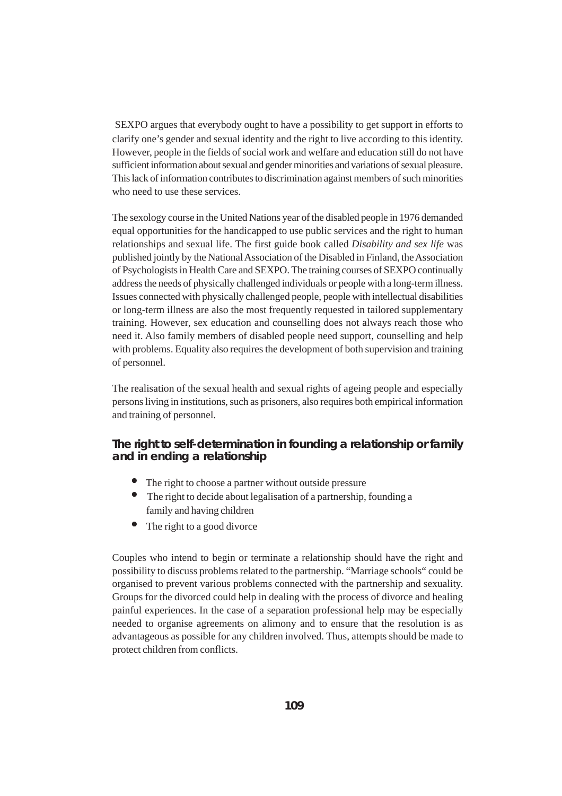SEXPO argues that everybody ought to have a possibility to get support in efforts to clarify one's gender and sexual identity and the right to live according to this identity. However, people in the fields of social work and welfare and education still do not have sufficient information about sexual and gender minorities and variations of sexual pleasure. This lack of information contributes to discrimination against members of such minorities who need to use these services.

The sexology course in the United Nations year of the disabled people in 1976 demanded equal opportunities for the handicapped to use public services and the right to human relationships and sexual life. The first guide book called *Disability and sex life* was published jointly by the National Association of the Disabled in Finland, the Association of Psychologists in Health Care and SEXPO. The training courses of SEXPO continually address the needs of physically challenged individuals or people with a long-term illness. Issues connected with physically challenged people, people with intellectual disabilities or long-term illness are also the most frequently requested in tailored supplementary training. However, sex education and counselling does not always reach those who need it. Also family members of disabled people need support, counselling and help with problems. Equality also requires the development of both supervision and training of personnel.

The realisation of the sexual health and sexual rights of ageing people and especially persons living in institutions, such as prisoners, also requires both empirical information and training of personnel.

### **The right to self-determination in founding a relationship or family and in ending a relationship**

- The right to choose a partner without outside pressure
- The right to decide about legalisation of a partnership, founding a family and having children
- The right to a good divorce

Couples who intend to begin or terminate a relationship should have the right and possibility to discuss problems related to the partnership. "Marriage schools" could be organised to prevent various problems connected with the partnership and sexuality. Groups for the divorced could help in dealing with the process of divorce and healing painful experiences. In the case of a separation professional help may be especially needed to organise agreements on alimony and to ensure that the resolution is as advantageous as possible for any children involved. Thus, attempts should be made to protect children from conflicts.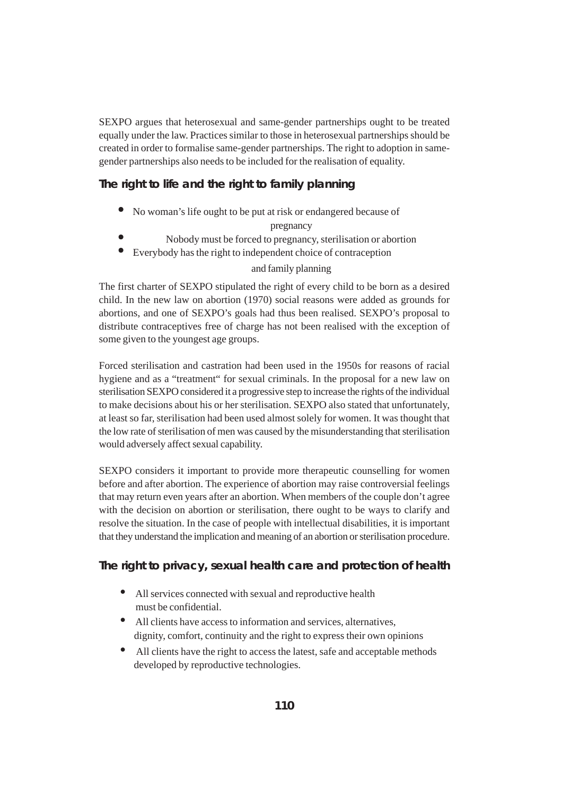SEXPO argues that heterosexual and same-gender partnerships ought to be treated equally under the law. Practices similar to those in heterosexual partnerships should be created in order to formalise same-gender partnerships. The right to adoption in samegender partnerships also needs to be included for the realisation of equality.

### **The right to life and the right to family planning**

• No woman's life ought to be put at risk or endangered because of

pregnancy

- Nobody must be forced to pregnancy, sterilisation or abortion
- Everybody has the right to independent choice of contraception

#### and family planning

The first charter of SEXPO stipulated the right of every child to be born as a desired child. In the new law on abortion (1970) social reasons were added as grounds for abortions, and one of SEXPO's goals had thus been realised. SEXPO's proposal to distribute contraceptives free of charge has not been realised with the exception of some given to the youngest age groups.

Forced sterilisation and castration had been used in the 1950s for reasons of racial hygiene and as a "treatment" for sexual criminals. In the proposal for a new law on sterilisation SEXPO considered it a progressive step to increase the rights of the individual to make decisions about his or her sterilisation. SEXPO also stated that unfortunately, at least so far, sterilisation had been used almost solely for women. It was thought that the low rate of sterilisation of men was caused by the misunderstanding that sterilisation would adversely affect sexual capability.

SEXPO considers it important to provide more therapeutic counselling for women before and after abortion. The experience of abortion may raise controversial feelings that may return even years after an abortion. When members of the couple don't agree with the decision on abortion or sterilisation, there ought to be ways to clarify and resolve the situation. In the case of people with intellectual disabilities, it is important that they understand the implication and meaning of an abortion or sterilisation procedure.

### **The right to privacy, sexual health care and protection of health**

- All services connected with sexual and reproductive health must be confidential.
- All clients have access to information and services, alternatives, dignity, comfort, continuity and the right to express their own opinions
- All clients have the right to access the latest, safe and acceptable methods developed by reproductive technologies.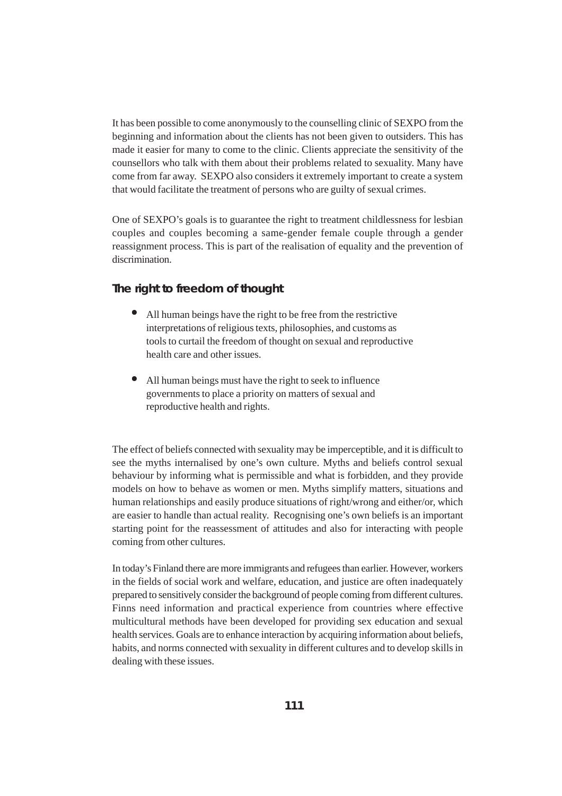It has been possible to come anonymously to the counselling clinic of SEXPO from the beginning and information about the clients has not been given to outsiders. This has made it easier for many to come to the clinic. Clients appreciate the sensitivity of the counsellors who talk with them about their problems related to sexuality. Many have come from far away. SEXPO also considers it extremely important to create a system that would facilitate the treatment of persons who are guilty of sexual crimes.

One of SEXPO's goals is to guarantee the right to treatment childlessness for lesbian couples and couples becoming a same-gender female couple through a gender reassignment process. This is part of the realisation of equality and the prevention of discrimination.

#### **The right to freedom of thought**

- All human beings have the right to be free from the restrictive interpretations of religious texts, philosophies, and customs as tools to curtail the freedom of thought on sexual and reproductive health care and other issues.
- All human beings must have the right to seek to influence governments to place a priority on matters of sexual and reproductive health and rights.

The effect of beliefs connected with sexuality may be imperceptible, and it is difficult to see the myths internalised by one's own culture. Myths and beliefs control sexual behaviour by informing what is permissible and what is forbidden, and they provide models on how to behave as women or men. Myths simplify matters, situations and human relationships and easily produce situations of right/wrong and either/or, which are easier to handle than actual reality. Recognising one's own beliefs is an important starting point for the reassessment of attitudes and also for interacting with people coming from other cultures.

In today's Finland there are more immigrants and refugees than earlier. However, workers in the fields of social work and welfare, education, and justice are often inadequately prepared to sensitively consider the background of people coming from different cultures. Finns need information and practical experience from countries where effective multicultural methods have been developed for providing sex education and sexual health services. Goals are to enhance interaction by acquiring information about beliefs, habits, and norms connected with sexuality in different cultures and to develop skills in dealing with these issues.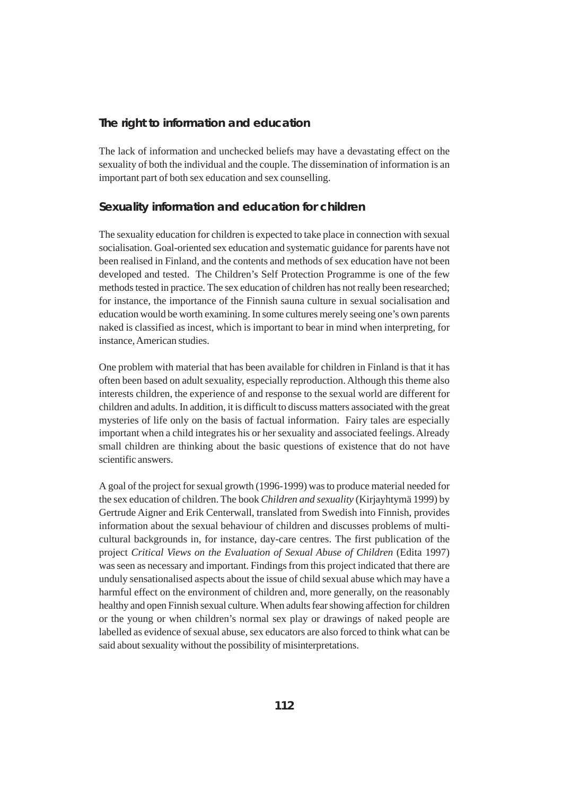#### **The right to information and education**

The lack of information and unchecked beliefs may have a devastating effect on the sexuality of both the individual and the couple. The dissemination of information is an important part of both sex education and sex counselling.

#### **Sexuality information and education for children**

The sexuality education for children is expected to take place in connection with sexual socialisation. Goal-oriented sex education and systematic guidance for parents have not been realised in Finland, and the contents and methods of sex education have not been developed and tested. The Children's Self Protection Programme is one of the few methods tested in practice. The sex education of children has not really been researched; for instance, the importance of the Finnish sauna culture in sexual socialisation and education would be worth examining. In some cultures merely seeing one's own parents naked is classified as incest, which is important to bear in mind when interpreting, for instance, American studies.

One problem with material that has been available for children in Finland is that it has often been based on adult sexuality, especially reproduction. Although this theme also interests children, the experience of and response to the sexual world are different for children and adults. In addition, it is difficult to discuss matters associated with the great mysteries of life only on the basis of factual information. Fairy tales are especially important when a child integrates his or her sexuality and associated feelings. Already small children are thinking about the basic questions of existence that do not have scientific answers.

A goal of the project for sexual growth (1996-1999) was to produce material needed for the sex education of children. The book *Children and sexuality* (Kirjayhtymä 1999) by Gertrude Aigner and Erik Centerwall, translated from Swedish into Finnish, provides information about the sexual behaviour of children and discusses problems of multicultural backgrounds in, for instance, day-care centres. The first publication of the project *Critical Views on the Evaluation of Sexual Abuse of Children* (Edita 1997) was seen as necessary and important. Findings from this project indicated that there are unduly sensationalised aspects about the issue of child sexual abuse which may have a harmful effect on the environment of children and, more generally, on the reasonably healthy and open Finnish sexual culture. When adults fear showing affection for children or the young or when children's normal sex play or drawings of naked people are labelled as evidence of sexual abuse, sex educators are also forced to think what can be said about sexuality without the possibility of misinterpretations.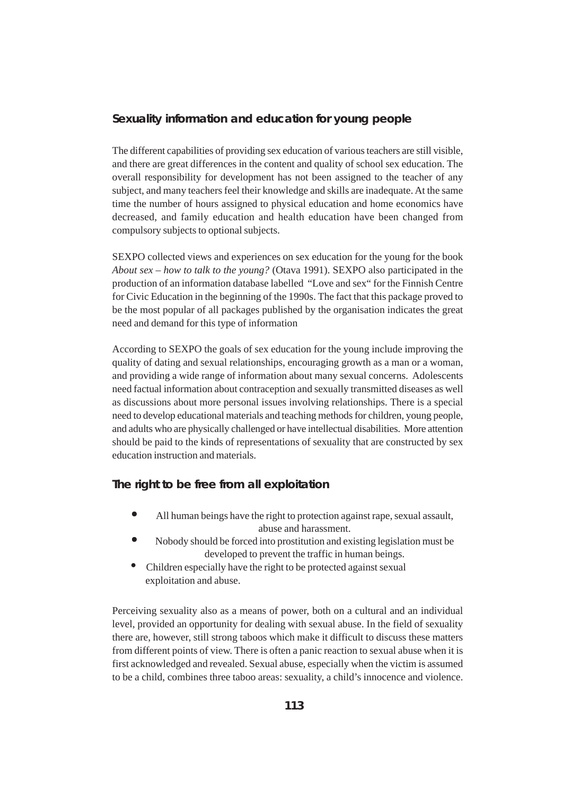### **Sexuality information and education for young people**

The different capabilities of providing sex education of various teachers are still visible, and there are great differences in the content and quality of school sex education. The overall responsibility for development has not been assigned to the teacher of any subject, and many teachers feel their knowledge and skills are inadequate. At the same time the number of hours assigned to physical education and home economics have decreased, and family education and health education have been changed from compulsory subjects to optional subjects.

SEXPO collected views and experiences on sex education for the young for the book *About sex – how to talk to the young?* (Otava 1991). SEXPO also participated in the production of an information database labelled "Love and sex" for the Finnish Centre for Civic Education in the beginning of the 1990s. The fact that this package proved to be the most popular of all packages published by the organisation indicates the great need and demand for this type of information

According to SEXPO the goals of sex education for the young include improving the quality of dating and sexual relationships, encouraging growth as a man or a woman, and providing a wide range of information about many sexual concerns. Adolescents need factual information about contraception and sexually transmitted diseases as well as discussions about more personal issues involving relationships. There is a special need to develop educational materials and teaching methods for children, young people, and adults who are physically challenged or have intellectual disabilities. More attention should be paid to the kinds of representations of sexuality that are constructed by sex education instruction and materials.

### **The right to be free from all exploitation**

- All human beings have the right to protection against rape, sexual assault, abuse and harassment.
- Nobody should be forced into prostitution and existing legislation must be developed to prevent the traffic in human beings.
- Children especially have the right to be protected against sexual exploitation and abuse.

Perceiving sexuality also as a means of power, both on a cultural and an individual level, provided an opportunity for dealing with sexual abuse. In the field of sexuality there are, however, still strong taboos which make it difficult to discuss these matters from different points of view. There is often a panic reaction to sexual abuse when it is first acknowledged and revealed. Sexual abuse, especially when the victim is assumed to be a child, combines three taboo areas: sexuality, a child's innocence and violence.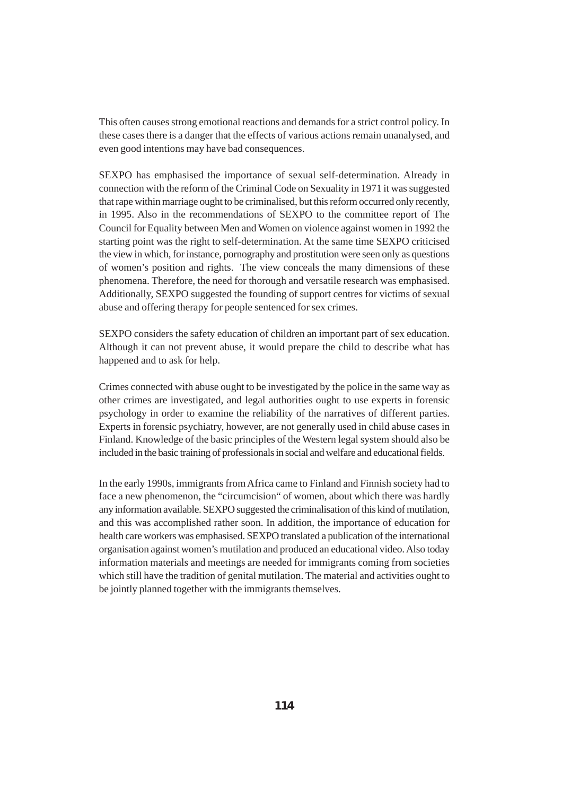This often causes strong emotional reactions and demands for a strict control policy. In these cases there is a danger that the effects of various actions remain unanalysed, and even good intentions may have bad consequences.

SEXPO has emphasised the importance of sexual self-determination. Already in connection with the reform of the Criminal Code on Sexuality in 1971 it was suggested that rape within marriage ought to be criminalised, but this reform occurred only recently, in 1995. Also in the recommendations of SEXPO to the committee report of The Council for Equality between Men and Women on violence against women in 1992 the starting point was the right to self-determination. At the same time SEXPO criticised the view in which, for instance, pornography and prostitution were seen only as questions of women's position and rights. The view conceals the many dimensions of these phenomena. Therefore, the need for thorough and versatile research was emphasised. Additionally, SEXPO suggested the founding of support centres for victims of sexual abuse and offering therapy for people sentenced for sex crimes.

SEXPO considers the safety education of children an important part of sex education. Although it can not prevent abuse, it would prepare the child to describe what has happened and to ask for help.

Crimes connected with abuse ought to be investigated by the police in the same way as other crimes are investigated, and legal authorities ought to use experts in forensic psychology in order to examine the reliability of the narratives of different parties. Experts in forensic psychiatry, however, are not generally used in child abuse cases in Finland. Knowledge of the basic principles of the Western legal system should also be included in the basic training of professionals in social and welfare and educational fields.

In the early 1990s, immigrants from Africa came to Finland and Finnish society had to face a new phenomenon, the "circumcision" of women, about which there was hardly any information available. SEXPO suggested the criminalisation of this kind of mutilation, and this was accomplished rather soon. In addition, the importance of education for health care workers was emphasised. SEXPO translated a publication of the international organisation against women's mutilation and produced an educational video. Also today information materials and meetings are needed for immigrants coming from societies which still have the tradition of genital mutilation. The material and activities ought to be jointly planned together with the immigrants themselves.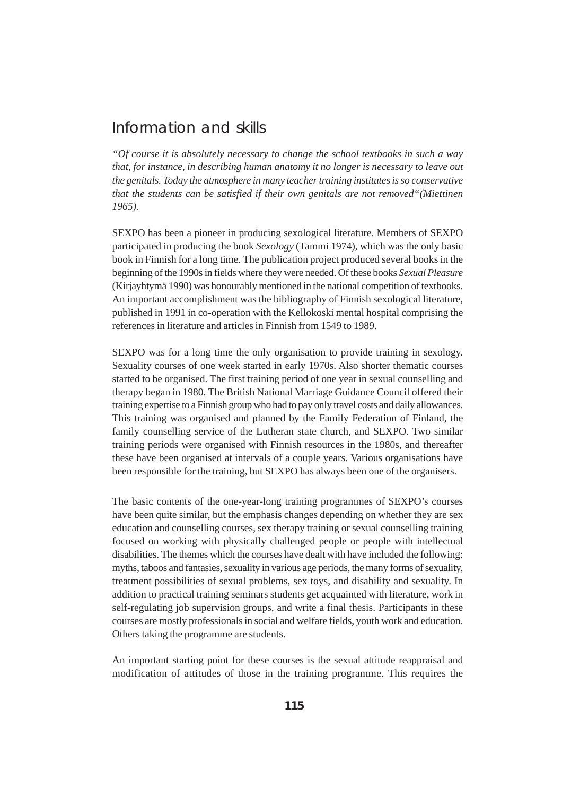# Information and skills

*"Of course it is absolutely necessary to change the school textbooks in such a way that, for instance, in describing human anatomy it no longer is necessary to leave out the genitals. Today the atmosphere in many teacher training institutes is so conservative that the students can be satisfied if their own genitals are not removed"(Miettinen 1965).*

SEXPO has been a pioneer in producing sexological literature. Members of SEXPO participated in producing the book *Sexology* (Tammi 1974), which was the only basic book in Finnish for a long time. The publication project produced several books in the beginning of the 1990s in fields where they were needed. Of these books *Sexual Pleasure* (Kirjayhtymä 1990) was honourably mentioned in the national competition of textbooks. An important accomplishment was the bibliography of Finnish sexological literature*,* published in 1991 in co-operation with the Kellokoski mental hospital comprising the references in literature and articles in Finnish from 1549 to 1989.

SEXPO was for a long time the only organisation to provide training in sexology. Sexuality courses of one week started in early 1970s. Also shorter thematic courses started to be organised. The first training period of one year in sexual counselling and therapy began in 1980. The British National Marriage Guidance Council offered their training expertise to a Finnish group who had to pay only travel costs and daily allowances. This training was organised and planned by the Family Federation of Finland, the family counselling service of the Lutheran state church, and SEXPO. Two similar training periods were organised with Finnish resources in the 1980s, and thereafter these have been organised at intervals of a couple years. Various organisations have been responsible for the training, but SEXPO has always been one of the organisers.

The basic contents of the one-year-long training programmes of SEXPO's courses have been quite similar, but the emphasis changes depending on whether they are sex education and counselling courses, sex therapy training or sexual counselling training focused on working with physically challenged people or people with intellectual disabilities. The themes which the courses have dealt with have included the following: myths, taboos and fantasies, sexuality in various age periods, the many forms of sexuality, treatment possibilities of sexual problems, sex toys, and disability and sexuality. In addition to practical training seminars students get acquainted with literature, work in self-regulating job supervision groups, and write a final thesis. Participants in these courses are mostly professionals in social and welfare fields, youth work and education. Others taking the programme are students.

An important starting point for these courses is the sexual attitude reappraisal and modification of attitudes of those in the training programme. This requires the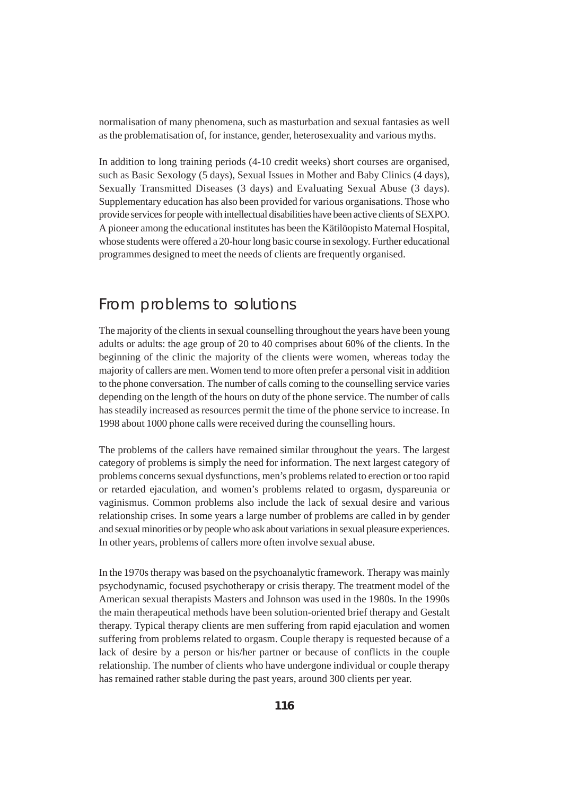normalisation of many phenomena, such as masturbation and sexual fantasies as well as the problematisation of, for instance, gender, heterosexuality and various myths.

In addition to long training periods (4-10 credit weeks) short courses are organised, such as Basic Sexology (5 days), Sexual Issues in Mother and Baby Clinics (4 days), Sexually Transmitted Diseases (3 days) and Evaluating Sexual Abuse (3 days). Supplementary education has also been provided for various organisations. Those who provide services for people with intellectual disabilities have been active clients of SEXPO. A pioneer among the educational institutes has been the Kätilöopisto Maternal Hospital, whose students were offered a 20-hour long basic course in sexology. Further educational programmes designed to meet the needs of clients are frequently organised.

# From problems to solutions

The majority of the clients in sexual counselling throughout the years have been young adults or adults: the age group of 20 to 40 comprises about 60% of the clients. In the beginning of the clinic the majority of the clients were women, whereas today the majority of callers are men. Women tend to more often prefer a personal visit in addition to the phone conversation. The number of calls coming to the counselling service varies depending on the length of the hours on duty of the phone service. The number of calls has steadily increased as resources permit the time of the phone service to increase. In 1998 about 1000 phone calls were received during the counselling hours.

The problems of the callers have remained similar throughout the years. The largest category of problems is simply the need for information. The next largest category of problems concerns sexual dysfunctions, men's problems related to erection or too rapid or retarded ejaculation, and women's problems related to orgasm, dyspareunia or vaginismus. Common problems also include the lack of sexual desire and various relationship crises. In some years a large number of problems are called in by gender and sexual minorities or by people who ask about variations in sexual pleasure experiences. In other years, problems of callers more often involve sexual abuse.

In the 1970s therapy was based on the psychoanalytic framework. Therapy was mainly psychodynamic, focused psychotherapy or crisis therapy. The treatment model of the American sexual therapists Masters and Johnson was used in the 1980s. In the 1990s the main therapeutical methods have been solution-oriented brief therapy and Gestalt therapy. Typical therapy clients are men suffering from rapid ejaculation and women suffering from problems related to orgasm. Couple therapy is requested because of a lack of desire by a person or his/her partner or because of conflicts in the couple relationship. The number of clients who have undergone individual or couple therapy has remained rather stable during the past years, around 300 clients per year.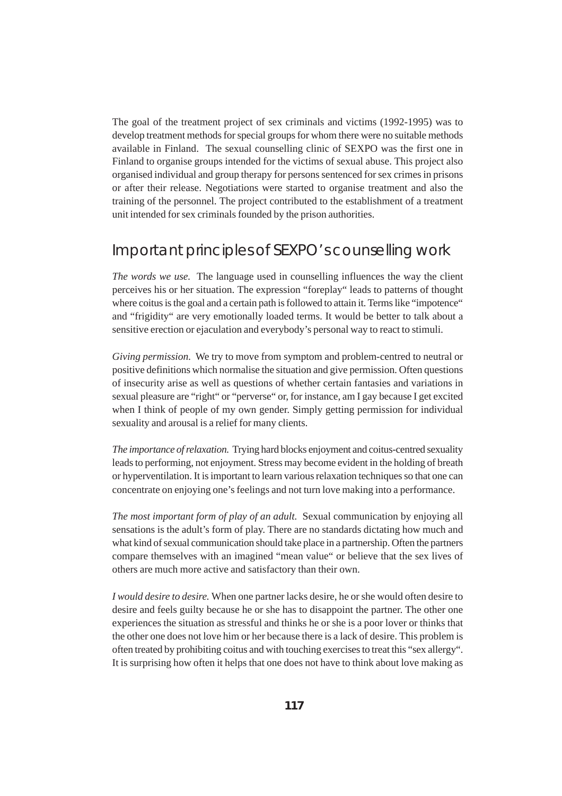The goal of the treatment project of sex criminals and victims (1992-1995) was to develop treatment methods for special groups for whom there were no suitable methods available in Finland. The sexual counselling clinic of SEXPO was the first one in Finland to organise groups intended for the victims of sexual abuse. This project also organised individual and group therapy for persons sentenced for sex crimes in prisons or after their release. Negotiations were started to organise treatment and also the training of the personnel. The project contributed to the establishment of a treatment unit intended for sex criminals founded by the prison authorities.

# Important principles of SEXPO's counselling work

*The words we use.* The language used in counselling influences the way the client perceives his or her situation. The expression "foreplay" leads to patterns of thought where coitus is the goal and a certain path is followed to attain it. Terms like "impotence" and "frigidity" are very emotionally loaded terms. It would be better to talk about a sensitive erection or ejaculation and everybody's personal way to react to stimuli.

*Giving permission.* We try to move from symptom and problem-centred to neutral or positive definitions which normalise the situation and give permission. Often questions of insecurity arise as well as questions of whether certain fantasies and variations in sexual pleasure are "right" or "perverse" or, for instance, am I gay because I get excited when I think of people of my own gender. Simply getting permission for individual sexuality and arousal is a relief for many clients.

*The importance of relaxation.* Trying hard blocks enjoyment and coitus-centred sexuality leads to performing, not enjoyment. Stress may become evident in the holding of breath or hyperventilation. It is important to learn various relaxation techniques so that one can concentrate on enjoying one's feelings and not turn love making into a performance.

*The most important form of play of an adult.* Sexual communication by enjoying all sensations is the adult's form of play. There are no standards dictating how much and what kind of sexual communication should take place in a partnership. Often the partners compare themselves with an imagined "mean value" or believe that the sex lives of others are much more active and satisfactory than their own.

*I would desire to desire.* When one partner lacks desire, he or she would often desire to desire and feels guilty because he or she has to disappoint the partner. The other one experiences the situation as stressful and thinks he or she is a poor lover or thinks that the other one does not love him or her because there is a lack of desire. This problem is often treated by prohibiting coitus and with touching exercises to treat this "sex allergy". It is surprising how often it helps that one does not have to think about love making as